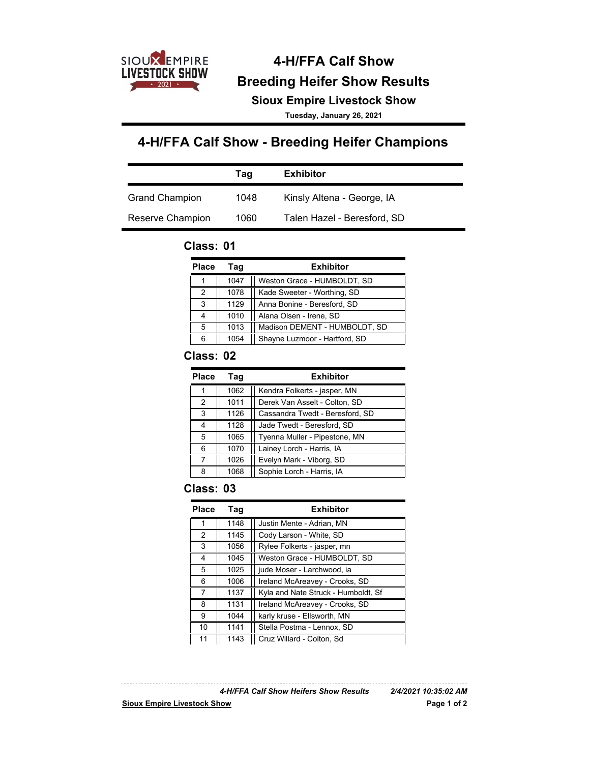

# **4-H/FFA Calf Show Sioux Empire Livestock Show Breeding Heifer Show Results**

**Tuesday, January 26, 2021**

# **4-H/FFA Calf Show - Breeding Heifer Champions**

|                       | Taq  | <b>Exhibitor</b>            |
|-----------------------|------|-----------------------------|
| <b>Grand Champion</b> | 1048 | Kinsly Altena - George, IA  |
| Reserve Champion      | 1060 | Talen Hazel - Beresford, SD |

#### **Class: 01**

| <b>Place</b> | Taq  | <b>Exhibitor</b>              |
|--------------|------|-------------------------------|
|              | 1047 | Weston Grace - HUMBOLDT, SD   |
| 2            | 1078 | Kade Sweeter - Worthing, SD   |
| 3            | 1129 | Anna Bonine - Beresford, SD   |
| 4            | 1010 | Alana Olsen - Irene, SD       |
| 5            | 1013 | Madison DEMENT - HUMBOLDT, SD |
| 6            | 1054 | Shayne Luzmoor - Hartford, SD |

#### **Class: 02**

| <b>Place</b> | Tag  | <b>Exhibitor</b>                |
|--------------|------|---------------------------------|
|              | 1062 | Kendra Folkerts - jasper, MN    |
| 2            | 1011 | Derek Van Asselt - Colton, SD   |
| 3            | 1126 | Cassandra Twedt - Beresford, SD |
| 4            | 1128 | Jade Twedt - Beresford, SD      |
| 5            | 1065 | Tyenna Muller - Pipestone, MN   |
| 6            | 1070 | Lainey Lorch - Harris, IA       |
| 7            | 1026 | Evelyn Mark - Viborg, SD        |
| 8            | 1068 | Sophie Lorch - Harris, IA       |

#### **Class: 03**

| <b>Place</b> | Tag  | <b>Exhibitor</b>                    |
|--------------|------|-------------------------------------|
|              | 1148 | Justin Mente - Adrian, MN           |
| 2            | 1145 | Cody Larson - White, SD             |
| 3            | 1056 | Rylee Folkerts - jasper, mn         |
| 4            | 1045 | Weston Grace - HUMBOLDT, SD         |
| 5            | 1025 | jude Moser - Larchwood, ia          |
| 6            | 1006 | Ireland McAreavey - Crooks, SD      |
| 7            | 1137 | Kyla and Nate Struck - Humboldt, Sf |
| 8            | 1131 | Ireland McAreavey - Crooks, SD      |
| 9            | 1044 | karly kruse - Ellsworth, MN         |
| 10           | 1141 | Stella Postma - Lennox, SD          |
| 11           | 1143 | Cruz Willard - Colton, Sd           |

*4-H/FFA Calf Show Heifers Show Results 2/4/2021 10:35:02 AM*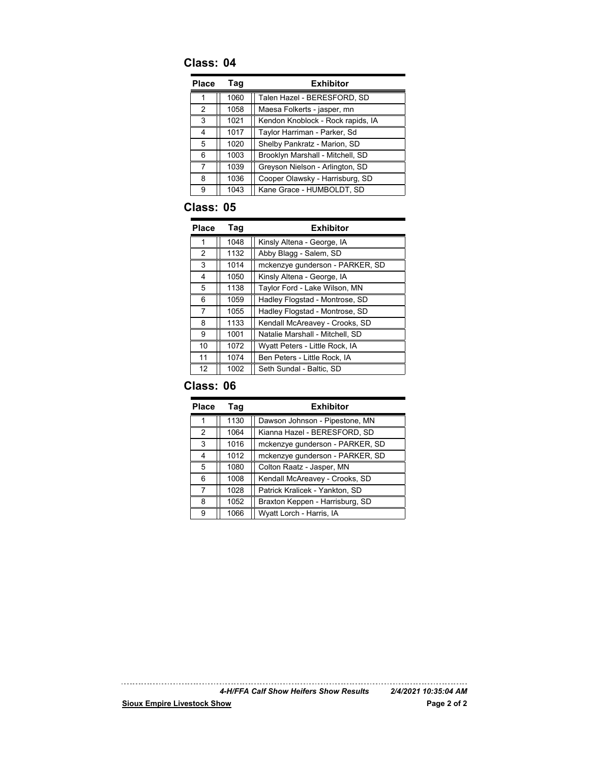## **Class: 04**

| Place         | Taq  | <b>Exhibitor</b>                  |
|---------------|------|-----------------------------------|
|               | 1060 | Talen Hazel - BERESFORD, SD       |
| $\mathcal{P}$ | 1058 | Maesa Folkerts - jasper, mn       |
| 3             | 1021 | Kendon Knoblock - Rock rapids, IA |
| 4             | 1017 | Taylor Harriman - Parker, Sd      |
| 5             | 1020 | Shelby Pankratz - Marion, SD      |
| 6             | 1003 | Brooklyn Marshall - Mitchell, SD  |
| 7             | 1039 | Greyson Nielson - Arlington, SD   |
| 8             | 1036 | Cooper Olawsky - Harrisburg, SD   |
| 9             | 1043 | Kane Grace - HUMBOLDT, SD         |

#### **Class: 05**

| Place | Tag  | <b>Exhibitor</b>                |
|-------|------|---------------------------------|
| 1     | 1048 | Kinsly Altena - George, IA      |
| 2     | 1132 | Abby Blagg - Salem, SD          |
| 3     | 1014 | mckenzye gunderson - PARKER, SD |
| 4     | 1050 | Kinsly Altena - George, IA      |
| 5     | 1138 | Taylor Ford - Lake Wilson, MN   |
| 6     | 1059 | Hadley Flogstad - Montrose, SD  |
| 7     | 1055 | Hadley Flogstad - Montrose, SD  |
| 8     | 1133 | Kendall McAreavey - Crooks, SD  |
| 9     | 1001 | Natalie Marshall - Mitchell, SD |
| 10    | 1072 | Wyatt Peters - Little Rock, IA  |
| 11    | 1074 | Ben Peters - Little Rock, IA    |
| 12    | 1002 | Seth Sundal - Baltic, SD        |

#### **Class: 06**

| <b>Place</b>   | Tag  | <b>Exhibitor</b>                |
|----------------|------|---------------------------------|
|                | 1130 | Dawson Johnson - Pipestone, MN  |
| $\mathfrak{p}$ | 1064 | Kianna Hazel - BERESFORD, SD    |
| 3              | 1016 | mckenzye gunderson - PARKER, SD |
| 4              | 1012 | mckenzye gunderson - PARKER, SD |
| 5              | 1080 | Colton Raatz - Jasper, MN       |
| 6              | 1008 | Kendall McAreavey - Crooks, SD  |
| 7              | 1028 | Patrick Kralicek - Yankton, SD  |
| 8              | 1052 | Braxton Keppen - Harrisburg, SD |
| Й              | 1066 | Wyatt Lorch - Harris, IA        |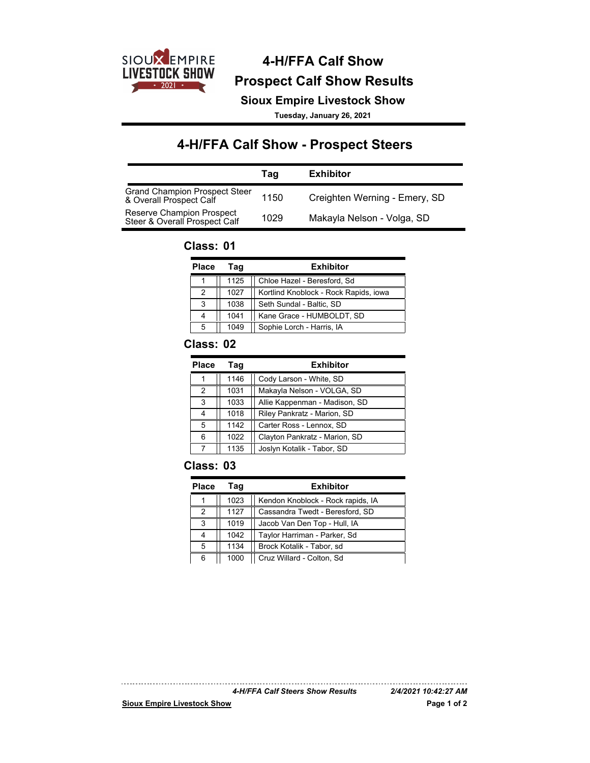

# **4-H/FFA Calf Show Prospect Calf Show Results**

**Sioux Empire Livestock Show**

**Tuesday, January 26, 2021**

# **4-H/FFA Calf Show - Prospect Steers**

|                                                                 | Taq  | Exhibitor                     |
|-----------------------------------------------------------------|------|-------------------------------|
| <b>Grand Champion Prospect Steer</b><br>& Overall Prospect Calf | 1150 | Creighten Werning - Emery, SD |
| Reserve Champion Prospect<br>Steer & Overall Prospect Calf      | 1029 | Makayla Nelson - Volga, SD    |

#### **Class: 01**

| <b>Place</b> | Taq  | <b>Exhibitor</b>                      |
|--------------|------|---------------------------------------|
|              | 1125 | Chloe Hazel - Beresford, Sd           |
| 2            | 1027 | Kortlind Knoblock - Rock Rapids, iowa |
| 3            | 1038 | Seth Sundal - Baltic, SD              |
| 4            | 1041 | Kane Grace - HUMBOLDT, SD             |
| 5            | 1049 | Sophie Lorch - Harris, IA             |

#### **Class: 02**

| <b>Place</b>  | Tag  | <b>Exhibitor</b>              |
|---------------|------|-------------------------------|
|               | 1146 | Cody Larson - White, SD       |
| $\mathcal{P}$ | 1031 | Makayla Nelson - VOLGA, SD    |
| 3             | 1033 | Allie Kappenman - Madison, SD |
|               | 1018 | Riley Pankratz - Marion, SD   |
| 5             | 1142 | Carter Ross - Lennox, SD      |
| 6             | 1022 | Clayton Pankratz - Marion, SD |
|               | 1135 | Joslyn Kotalik - Tabor, SD    |

#### **Class: 03**

| <b>Place</b> | Taq  | <b>Exhibitor</b>                  |
|--------------|------|-----------------------------------|
|              | 1023 | Kendon Knoblock - Rock rapids, IA |
| 2            | 1127 | Cassandra Twedt - Beresford, SD   |
| 3            | 1019 | Jacob Van Den Top - Hull, IA      |
|              | 1042 | Taylor Harriman - Parker, Sd      |
| 5            | 1134 | Brock Kotalik - Tabor, sd         |
| 6            | 1000 | Cruz Willard - Colton, Sd         |

*4-H/FFA Calf Steers Show Results 2/4/2021 10:42:27 AM*

<u>. . . . . . . . . . . . . .</u>

**Sioux Empire Livestock Show Page 1 of 2**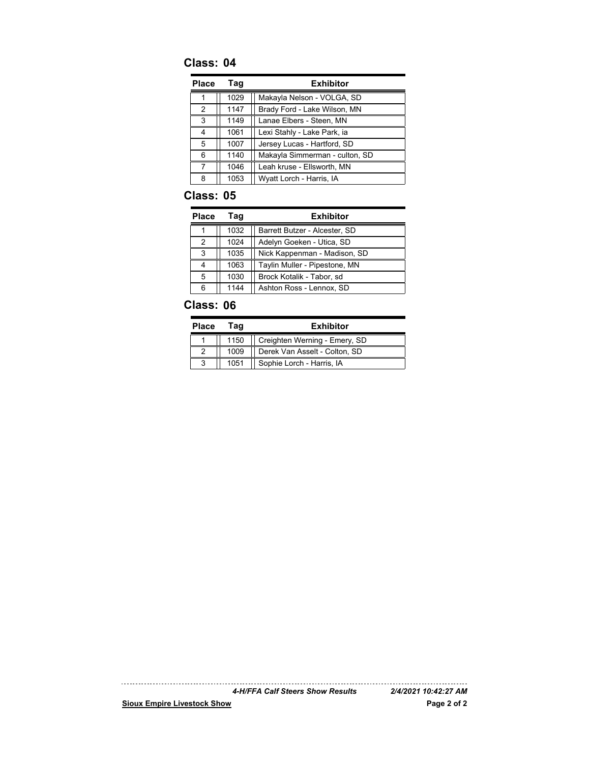## **Class: 04**

| Place | Tag  | <b>Exhibitor</b>               |
|-------|------|--------------------------------|
|       | 1029 | Makayla Nelson - VOLGA, SD     |
| 2     | 1147 | Brady Ford - Lake Wilson, MN   |
| 3     | 1149 | Lanae Elbers - Steen, MN       |
| 4     | 1061 | Lexi Stahly - Lake Park, ia    |
| 5     | 1007 | Jersey Lucas - Hartford, SD    |
| 6     | 1140 | Makayla Simmerman - culton, SD |
| 7     | 1046 | Leah kruse - Ellsworth, MN     |
| 8     | 1053 | Wyatt Lorch - Harris, IA       |

#### **Class: 05**

| Place | Taq  | <b>Exhibitor</b>              |
|-------|------|-------------------------------|
|       | 1032 | Barrett Butzer - Alcester, SD |
| 2     | 1024 | Adelyn Goeken - Utica, SD     |
| 3     | 1035 | Nick Kappenman - Madison, SD  |
|       | 1063 | Taylin Muller - Pipestone, MN |
| 5     | 1030 | Brock Kotalik - Tabor, sd     |
| ี     | 1144 | Ashton Ross - Lennox, SD      |

## **Class: 06**

| <b>Place</b> | Taɑ  | <b>Exhibitor</b>              |
|--------------|------|-------------------------------|
|              | 1150 | Creighten Werning - Emery, SD |
|              | 1009 | Derek Van Asselt - Colton, SD |
|              | 1051 | Sophie Lorch - Harris, IA     |